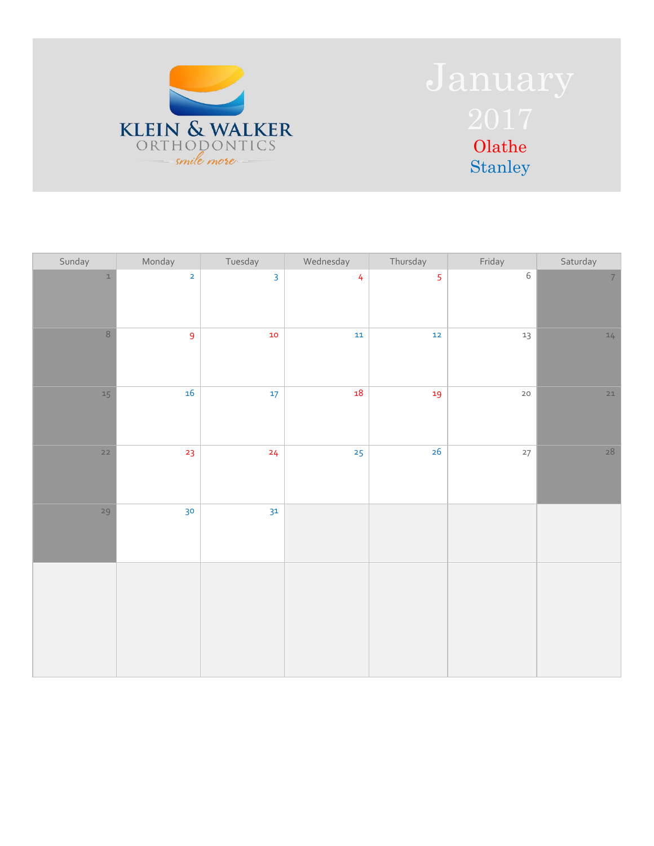

| Sunday        | Monday                  | Tuesday        | Wednesday      | Thursday       | Friday      | Saturday       |
|---------------|-------------------------|----------------|----------------|----------------|-------------|----------------|
| $\mathbbm{1}$ | $\overline{\mathbf{2}}$ | $\overline{3}$ | $\overline{4}$ | $\overline{5}$ | $\,$ 6 $\,$ | $\overline{7}$ |
| $\,8\,$       | $\overline{9}$          | 10             | ${\bf 11}$     | $\mathbf{12}$  | $13\,$      | $14$           |
| $15\,$        | 16                      | $17 \text{ }$  | $\bf 18$       | 19             | $20\,$      | $21$           |
| $22$          | 23                      | 24             | 25             | 26             | $27\,$      | $28$           |
| 29            | 30 <sub>o</sub>         | 3 <sup>1</sup> |                |                |             |                |
|               |                         |                |                |                |             |                |
|               |                         |                |                |                |             |                |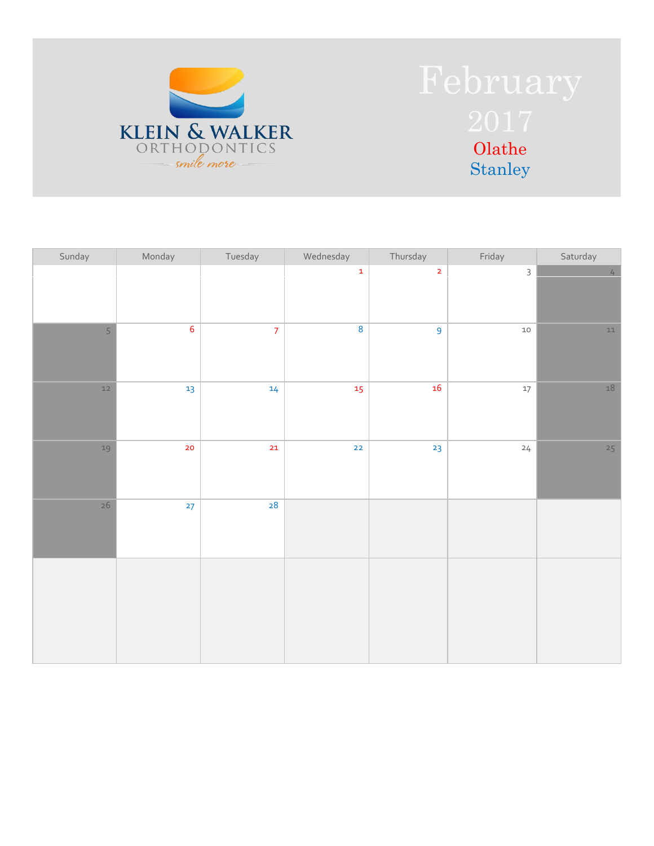

| Sunday | Monday          | Tuesday         | Wednesday               | Thursday       | Friday       | Saturday        |
|--------|-----------------|-----------------|-------------------------|----------------|--------------|-----------------|
|        |                 |                 | $\mathbf 1$             | $\overline{2}$ | $\mathsf{3}$ | $4\overline{ }$ |
| 5      | $6\overline{6}$ | $\overline{7}$  | $\overline{\mathbf{8}}$ | $\overline{9}$ | $10$         | $11\,$          |
| $12$   | 13              | 14 <sub>1</sub> | 15 <sub>1</sub>         | $16\,$         | $17\,$       | $18\,$          |
| $19$   | 20 <sub>o</sub> | 21              | $\mathbf{22}$           | 23             | 24           | 25              |
| 26     | 27              | 28              |                         |                |              |                 |
|        |                 |                 |                         |                |              |                 |
|        |                 |                 |                         |                |              |                 |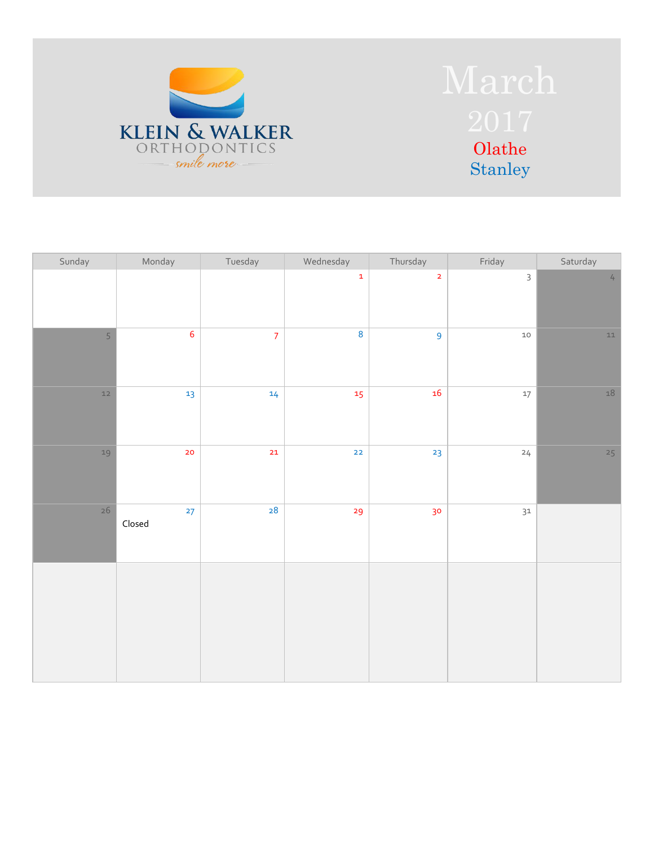

| Sunday | Monday       | Tuesday        | Wednesday               | Thursday        | Friday       | Saturday               |
|--------|--------------|----------------|-------------------------|-----------------|--------------|------------------------|
|        |              |                | $\mathbf 1$             | $\overline{2}$  | $\mathsf{3}$ | $\mathcal{L}_{\vdash}$ |
| 5      | $\sqrt{6}$   | $\overline{7}$ | $\overline{\mathbf{8}}$ | 9               | $10\,$       | $11\,$                 |
| $12$   | 13           | 14             | $15 \text{ }$           | ${\bf 16}$      | $17\,$       | $18\,$                 |
| 19     | 20           | 21             | $22$                    | 23              | 24           | 25                     |
| 26     | 27<br>Closed | 28             | 29                      | 30 <sub>o</sub> | $31\,$       |                        |
|        |              |                |                         |                 |              |                        |
|        |              |                |                         |                 |              |                        |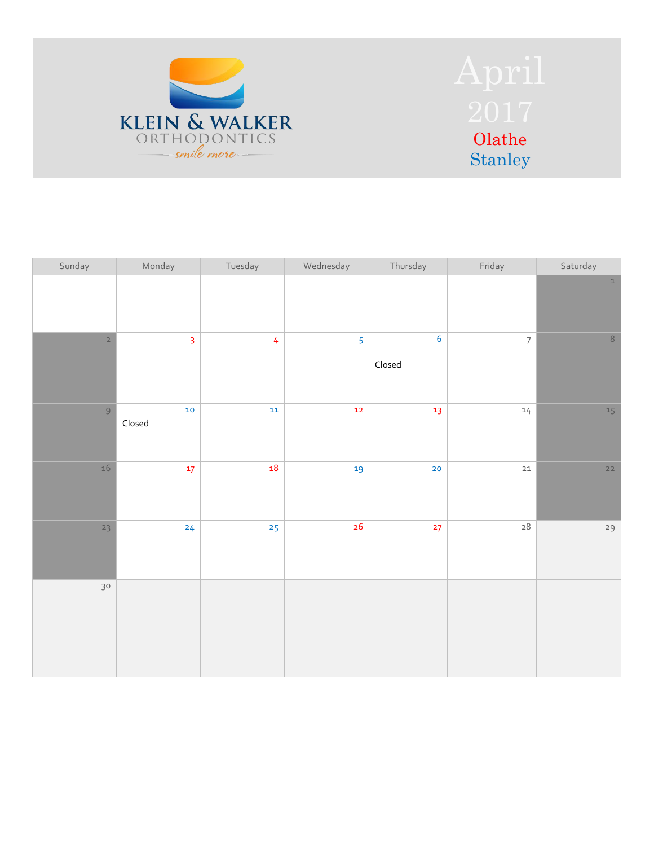

| Sunday         | Monday           | Tuesday        | Wednesday      | Thursday                                         | Friday         | Saturday                   |
|----------------|------------------|----------------|----------------|--------------------------------------------------|----------------|----------------------------|
|                |                  |                |                |                                                  |                | $\ensuremath{\mathbbm{1}}$ |
| $\overline{2}$ | $\overline{3}$   | $\overline{4}$ | 5 <sup>5</sup> | $6\phantom{a}$<br>$\ensuremath{\mathsf{Closed}}$ | $\overline{7}$ | $\,8\,$                    |
| $\mathcal{G}$  | $10\,$<br>Closed | $11\,$         | $\mathbf{12}$  | 13                                               | $14$           | $15\,$                     |
| $16\,$         | 17               | ${\bf 18}$     | 19             | 20                                               | $21\,$         | $22$                       |
| 23             | 24               | 25             | 26             | 27                                               | $\sqrt{28}$    | 29                         |
| 30             |                  |                |                |                                                  |                |                            |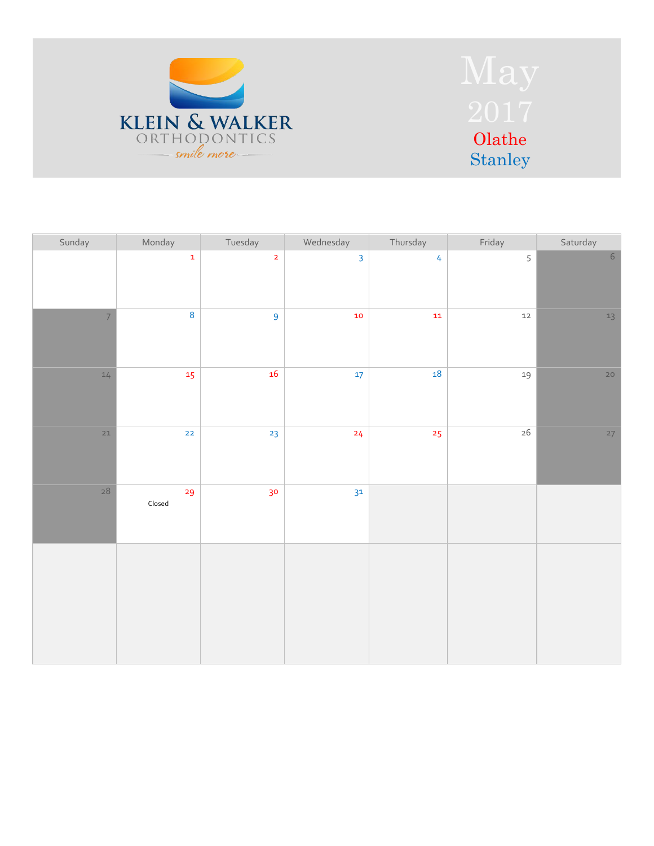

| Sunday         | Monday                               | Tuesday                 | Wednesday               | Thursday       | Friday | Saturday |
|----------------|--------------------------------------|-------------------------|-------------------------|----------------|--------|----------|
|                | $\mathbf 1$                          | $\overline{\mathbf{2}}$ | $\overline{\mathbf{3}}$ | $\overline{4}$ | 5      | $6\,$    |
| $\overline{7}$ | $\overline{\mathbf{8}}$              | $\overline{9}$          | 10                      | ${\bf 11}$     | $12\,$ | $13$     |
| 14             | 15                                   | $16\,$                  | $17$                    | ${\bf 18}$     | 19     | 20       |
| $21$           | $\mathbf{22}$                        | 23                      | 24                      | 25             | $26$   | 27       |
| $28$           | 29<br>$\ensuremath{\mathsf{Closed}}$ | 30                      | 3 <sup>1</sup>          |                |        |          |
|                |                                      |                         |                         |                |        |          |
|                |                                      |                         |                         |                |        |          |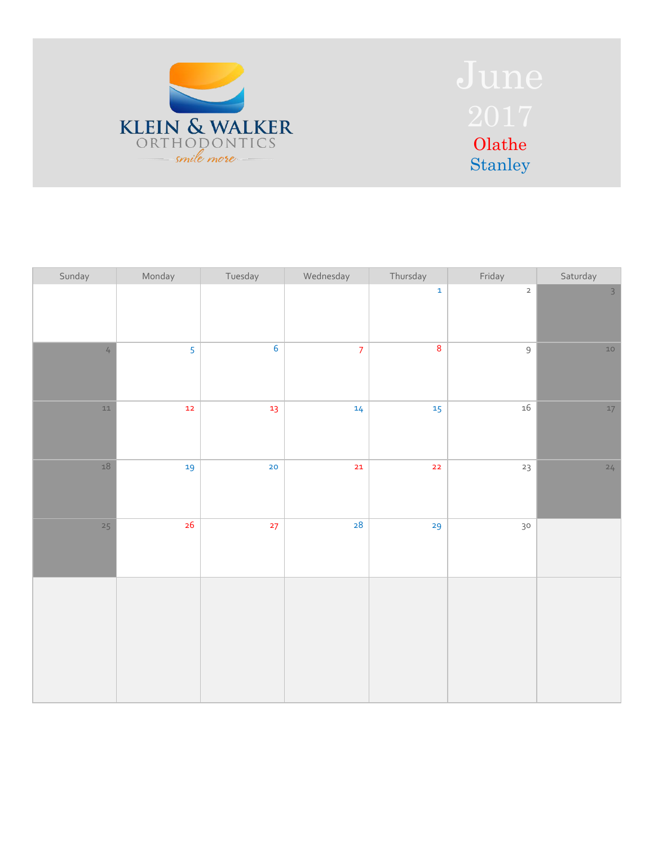

| Sunday         | Monday        | Tuesday         | Wednesday | Thursday                 | Friday         | Saturday       |
|----------------|---------------|-----------------|-----------|--------------------------|----------------|----------------|
|                |               |                 |           | $\mathbf 1$              | $\overline{2}$ | $\overline{3}$ |
| $\overline{4}$ | 5             | $\overline{6}$  | $\bar{z}$ | $\pmb{8}$                | $\mathsf 9$    | $10$           |
| $11\,$         | $\mathbf{12}$ | 13 <sub>1</sub> | 14        | 15                       | $16\,$         | $17\,$         |
| $18\,$         | 19            | 20              | $21$      | $\overline{\mathbf{22}}$ | $23\,$         | 24             |
| 25             | 26            | 27              | 28        | 29                       | 30             |                |
|                |               |                 |           |                          |                |                |
|                |               |                 |           |                          |                |                |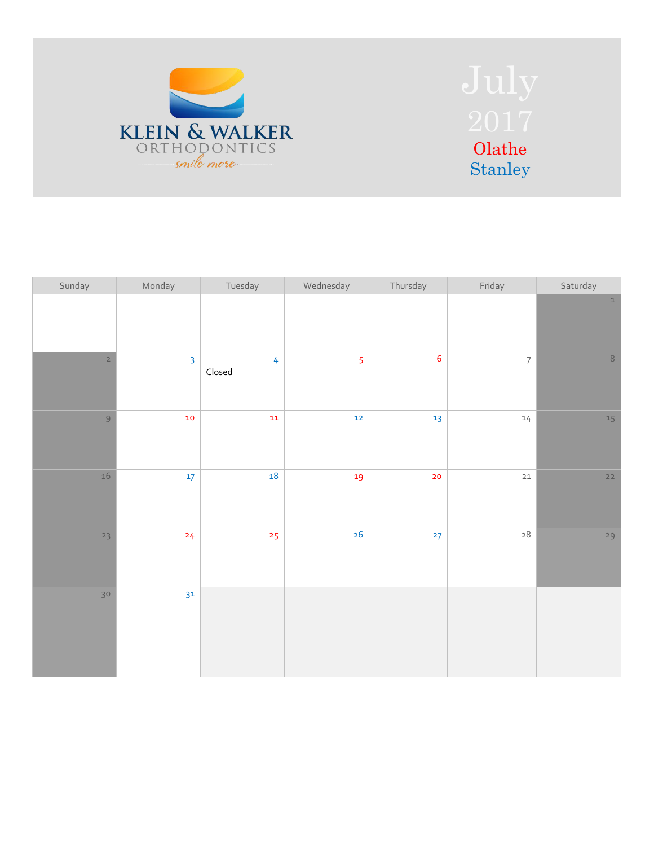

| Sunday          | Monday                  | Tuesday                                          | Wednesday      | Thursday         | Friday                   | Saturday    |
|-----------------|-------------------------|--------------------------------------------------|----------------|------------------|--------------------------|-------------|
|                 |                         |                                                  |                |                  |                          | $\,$ 1 $\,$ |
| $\overline{2}$  | $\overline{\mathbf{3}}$ | $\overline{4}$<br>$\ensuremath{\mathsf{Closed}}$ | $\overline{5}$ | $\boldsymbol{6}$ | $\overline{\phantom{a}}$ | $\,8\,$     |
| $\overline{9}$  | $\bf{10}$               | ${\bf 11}$                                       | $\mathbf{12}$  | 13               | $14\,$                   | 15          |
| $16\,$          | 17                      | 18                                               | 19             | 20               | $21\,$                   | $22$        |
| 23              | 24                      | 25                                               | 26             | 27               | $\sqrt{28}$              | 29          |
| 30 <sub>o</sub> | 31                      |                                                  |                |                  |                          |             |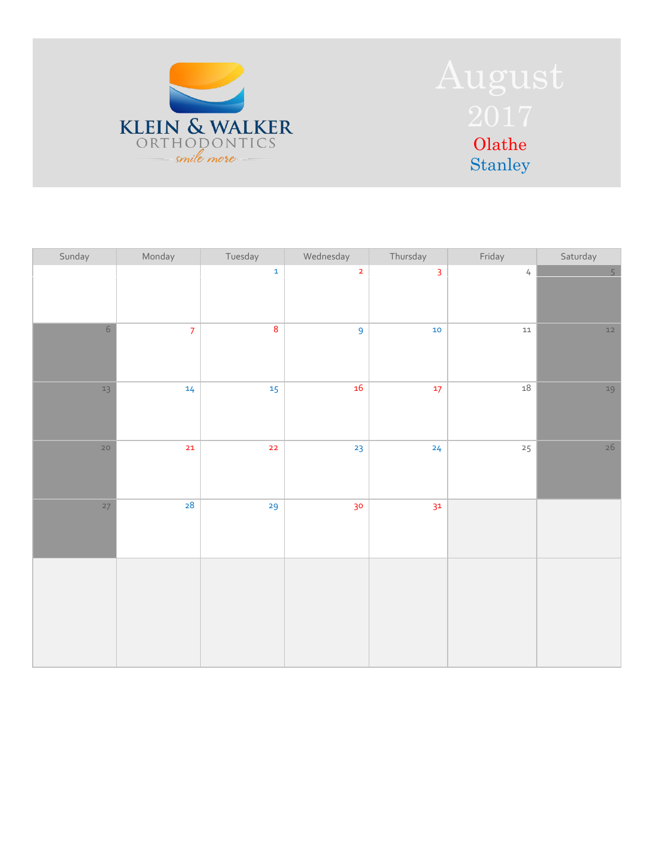

| Sunday          | Monday         | Tuesday                 | Wednesday       | Thursday       | Friday     | Saturday       |
|-----------------|----------------|-------------------------|-----------------|----------------|------------|----------------|
|                 |                | $\mathbf 1$             | $\overline{2}$  | $\overline{3}$ | $\sqrt{ }$ | $\overline{5}$ |
| $6\,$           | $\overline{7}$ | $\overline{\mathbf{8}}$ | $\overline{9}$  | $10$           | ${\tt11}$  | $12$           |
| $13\,$          | 14             | 15 <sub>1</sub>         | 16              | $17 \text{ }$  | $18\,$     | 19             |
| 20 <sub>o</sub> | 21             | $\mathbf{22}$           | 23              | 24             | 25         | $26\,$         |
| 27              | 28             | 29                      | 30 <sub>o</sub> | 3 <sup>1</sup> |            |                |
|                 |                |                         |                 |                |            |                |
|                 |                |                         |                 |                |            |                |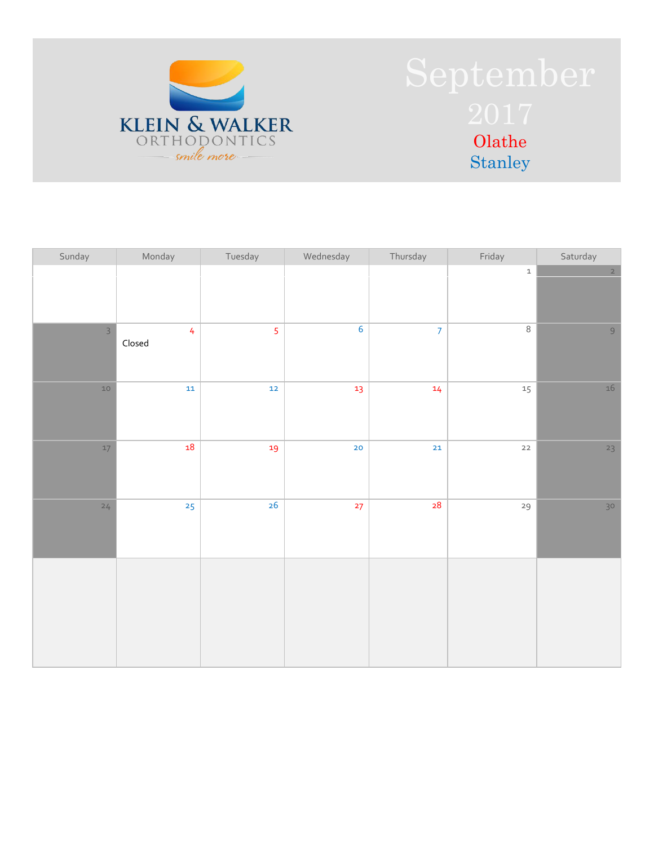

| Sunday         | Monday                                           | Tuesday        | Wednesday       | Thursday        | Friday           | Saturday       |
|----------------|--------------------------------------------------|----------------|-----------------|-----------------|------------------|----------------|
|                |                                                  |                |                 |                 | $\mathtt 1$      | $\overline{2}$ |
| $\overline{3}$ | $\overline{4}$<br>$\ensuremath{\mathsf{Closed}}$ | $\overline{5}$ | $\overline{6}$  | $\overline{7}$  | $\overline{8}$   | 9              |
| $10$           | $11\,$                                           | $12$           | 13 <sub>1</sub> | 14 <sub>1</sub> | $15\phantom{.0}$ | $16\,$         |
| $17$           | 18                                               | 19             | 20              | $21$            | $22$             | 23             |
| 24             | $25 \overline{)}$                                | 26             | 27              | 28              | 29               | 30             |
|                |                                                  |                |                 |                 |                  |                |
|                |                                                  |                |                 |                 |                  |                |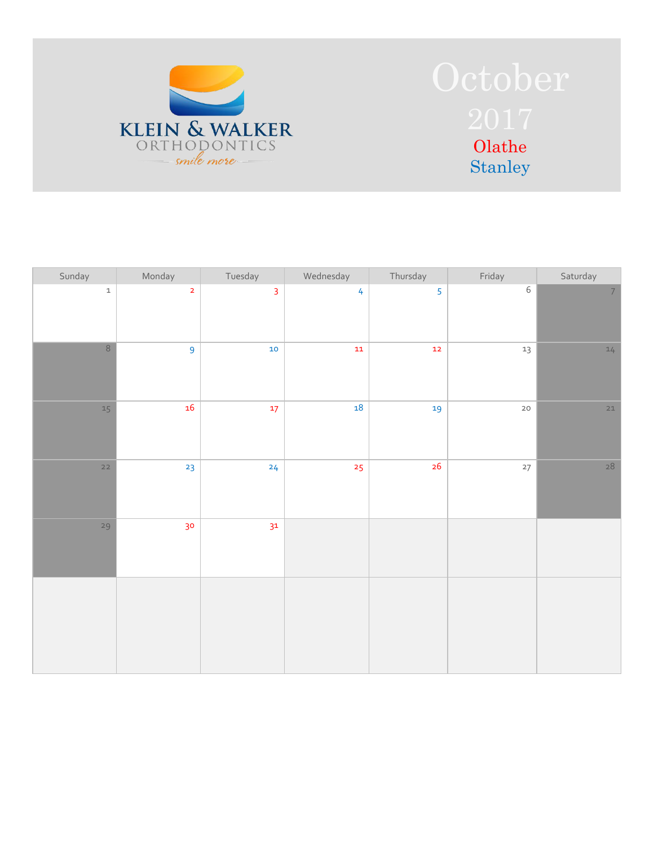

| Sunday                   | Monday                  | Tuesday        | Wednesday      | Thursday      | Friday      | Saturday       |
|--------------------------|-------------------------|----------------|----------------|---------------|-------------|----------------|
| $\mathtt 1$              | $\overline{\mathbf{2}}$ | $\overline{3}$ | $\overline{4}$ | 5             | $\,$ 6 $\,$ | 7 <sup>1</sup> |
| $\overline{8}$           | $\overline{9}$          | $\bf{10}$      | ${\bf 11}$     | $\mathbf{12}$ | $13\,$      | $14$           |
| $15\,$                   | 16                      | $17 \text{ }$  | $\bf 18$       | 19            | $20\,$      | $21$           |
| $\overline{\mathbf{22}}$ | 23                      | 24             | 25             | $26\,$        | $27\,$      | $28$           |
| 29                       | 30 <sub>o</sub>         | 3 <sup>1</sup> |                |               |             |                |
|                          |                         |                |                |               |             |                |
|                          |                         |                |                |               |             |                |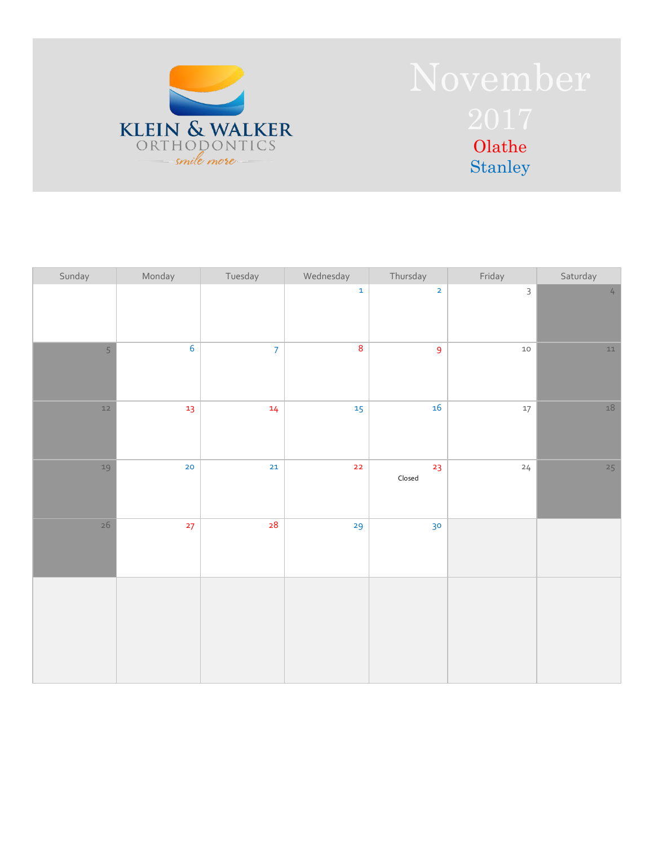

| Sunday         | Monday         | Tuesday        | Wednesday                | Thursday                             | Friday      | Saturday   |
|----------------|----------------|----------------|--------------------------|--------------------------------------|-------------|------------|
|                |                |                | $\mathbf{1}$             | $\overline{2}$                       | $\mathsf 3$ | $\sqrt{4}$ |
| $\overline{5}$ | $\overline{6}$ | $\overline{7}$ | $\bf 8$                  | $\overline{9}$                       | $10$        | $11\,$     |
| $12$           | 13             | 14             | 15 <sub>1</sub>          | 16                                   | $17\,$      | $18\,$     |
| 19             | 20             | $21\,$         | $\overline{\mathbf{22}}$ | 23<br>$\ensuremath{\mathsf{Closed}}$ | 24          | 25         |
| $26\,$         | 27             | 28             | 29                       | 30 <sub>o</sub>                      |             |            |
|                |                |                |                          |                                      |             |            |
|                |                |                |                          |                                      |             |            |